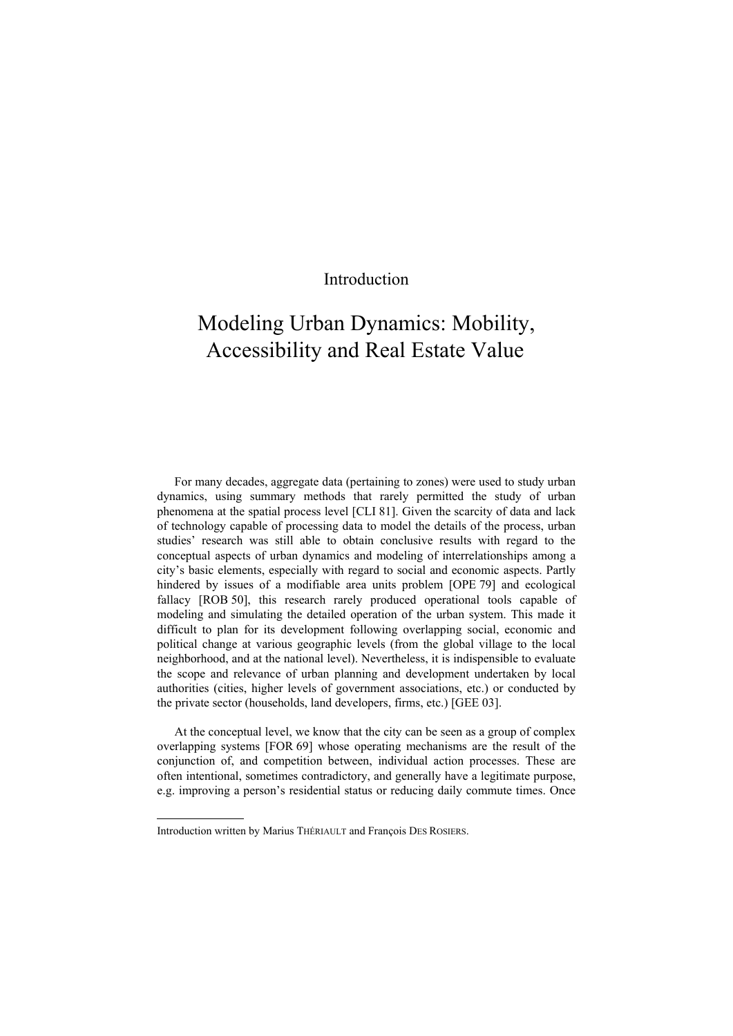# Introduction

# Modeling Urban Dynamics: Mobility, Accessibility and Real Estate Value

For many decades, aggregate data (pertaining to zones) were used to study urban dynamics, using summary methods that rarely permitted the study of urban phenomena at the spatial process level [CLI 81]. Given the scarcity of data and lack of technology capable of processing data to model the details of the process, urban studies' research was still able to obtain conclusive results with regard to the conceptual aspects of urban dynamics and modeling of interrelationships among a city's basic elements, especially with regard to social and economic aspects. Partly hindered by issues of a modifiable area units problem [OPE 79] and ecological fallacy [ROB 50], this research rarely produced operational tools capable of modeling and simulating the detailed operation of the urban system. This made it difficult to plan for its development following overlapping social, economic and political change at various geographic levels (from the global village to the local neighborhood, and at the national level). Nevertheless, it is indispensible to evaluate the scope and relevance of urban planning and development undertaken by local authorities (cities, higher levels of government associations, etc.) or conducted by the private sector (households, land developers, firms, etc.) [GEE 03].

At the conceptual level, we know that the city can be seen as a group of complex overlapping systems [FOR 69] whose operating mechanisms are the result of the conjunction of, and competition between, individual action processes. These are often intentional, sometimes contradictory, and generally have a legitimate purpose, e.g. improving a person's residential status or reducing daily commute times. Once

 $\overline{a}$ 

Introduction written by Marius THÉRIAULT and François DES ROSIERS.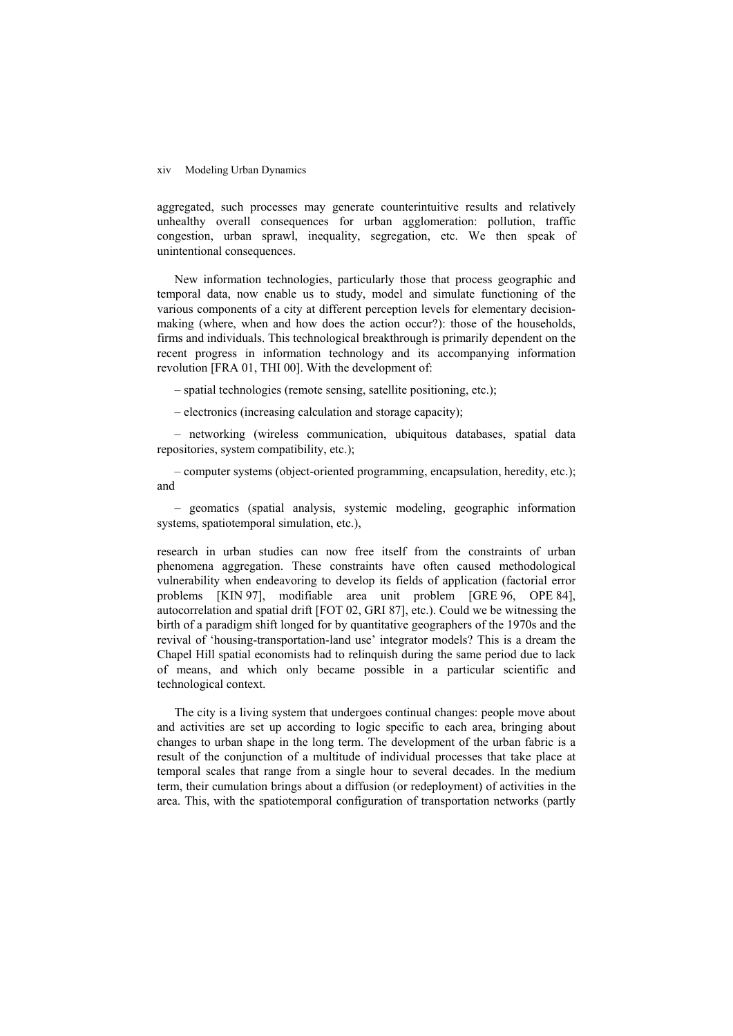### xiv Modeling Urban Dynamics

aggregated, such processes may generate counterintuitive results and relatively unhealthy overall consequences for urban agglomeration: pollution, traffic congestion, urban sprawl, inequality, segregation, etc. We then speak of unintentional consequences.

New information technologies, particularly those that process geographic and temporal data, now enable us to study, model and simulate functioning of the various components of a city at different perception levels for elementary decisionmaking (where, when and how does the action occur?): those of the households, firms and individuals. This technological breakthrough is primarily dependent on the recent progress in information technology and its accompanying information revolution [FRA 01, THI 00]. With the development of:

– spatial technologies (remote sensing, satellite positioning, etc.);

– electronics (increasing calculation and storage capacity);

– networking (wireless communication, ubiquitous databases, spatial data repositories, system compatibility, etc.);

– computer systems (object-oriented programming, encapsulation, heredity, etc.); and

– geomatics (spatial analysis, systemic modeling, geographic information systems, spatiotemporal simulation, etc.),

research in urban studies can now free itself from the constraints of urban phenomena aggregation. These constraints have often caused methodological vulnerability when endeavoring to develop its fields of application (factorial error problems [KIN 97], modifiable area unit problem [GRE 96, OPE 84], autocorrelation and spatial drift [FOT 02, GRI 87], etc.). Could we be witnessing the birth of a paradigm shift longed for by quantitative geographers of the 1970s and the revival of 'housing-transportation-land use' integrator models? This is a dream the Chapel Hill spatial economists had to relinquish during the same period due to lack of means, and which only became possible in a particular scientific and technological context.

The city is a living system that undergoes continual changes: people move about and activities are set up according to logic specific to each area, bringing about changes to urban shape in the long term. The development of the urban fabric is a result of the conjunction of a multitude of individual processes that take place at temporal scales that range from a single hour to several decades. In the medium term, their cumulation brings about a diffusion (or redeployment) of activities in the area. This, with the spatiotemporal configuration of transportation networks (partly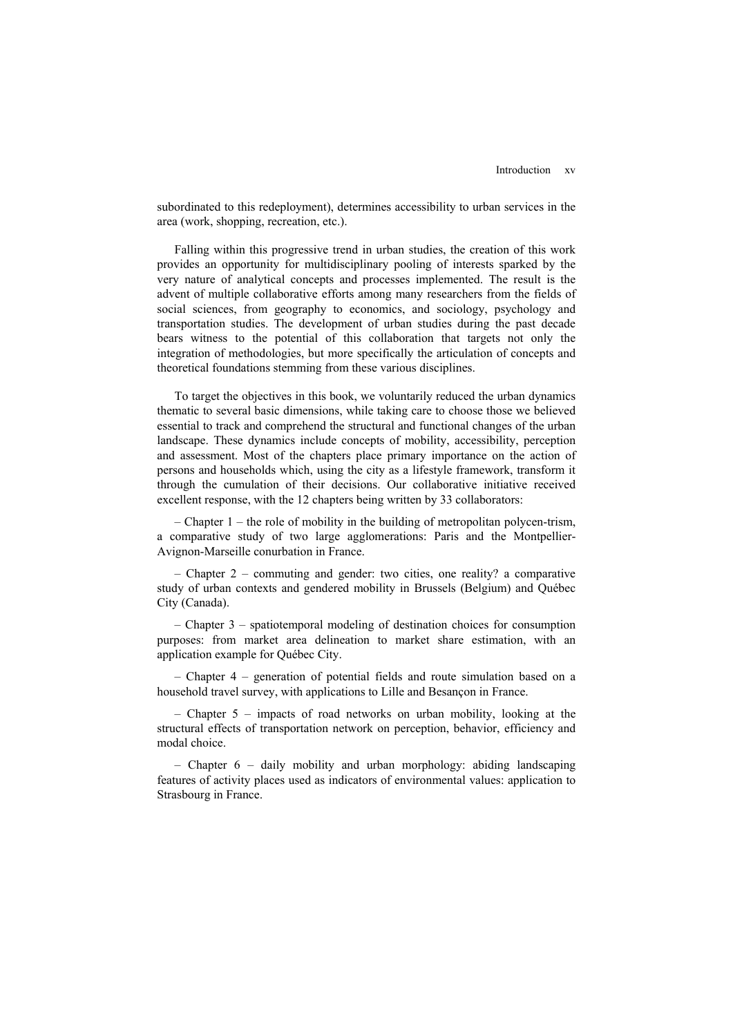subordinated to this redeployment), determines accessibility to urban services in the area (work, shopping, recreation, etc.).

Falling within this progressive trend in urban studies, the creation of this work provides an opportunity for multidisciplinary pooling of interests sparked by the very nature of analytical concepts and processes implemented. The result is the advent of multiple collaborative efforts among many researchers from the fields of social sciences, from geography to economics, and sociology, psychology and transportation studies. The development of urban studies during the past decade bears witness to the potential of this collaboration that targets not only the integration of methodologies, but more specifically the articulation of concepts and theoretical foundations stemming from these various disciplines.

To target the objectives in this book, we voluntarily reduced the urban dynamics thematic to several basic dimensions, while taking care to choose those we believed essential to track and comprehend the structural and functional changes of the urban landscape. These dynamics include concepts of mobility, accessibility, perception and assessment. Most of the chapters place primary importance on the action of persons and households which, using the city as a lifestyle framework, transform it through the cumulation of their decisions. Our collaborative initiative received excellent response, with the 12 chapters being written by 33 collaborators:

– Chapter 1 – the role of mobility in the building of metropolitan polycen-trism, a comparative study of two large agglomerations: Paris and the Montpellier-Avignon-Marseille conurbation in France.

– Chapter 2 – commuting and gender: two cities, one reality? a comparative study of urban contexts and gendered mobility in Brussels (Belgium) and Québec City (Canada).

– Chapter 3 – spatiotemporal modeling of destination choices for consumption purposes: from market area delineation to market share estimation, with an application example for Québec City.

– Chapter 4 – generation of potential fields and route simulation based on a household travel survey, with applications to Lille and Besançon in France.

– Chapter 5 – impacts of road networks on urban mobility, looking at the structural effects of transportation network on perception, behavior, efficiency and modal choice.

– Chapter 6 – daily mobility and urban morphology: abiding landscaping features of activity places used as indicators of environmental values: application to Strasbourg in France.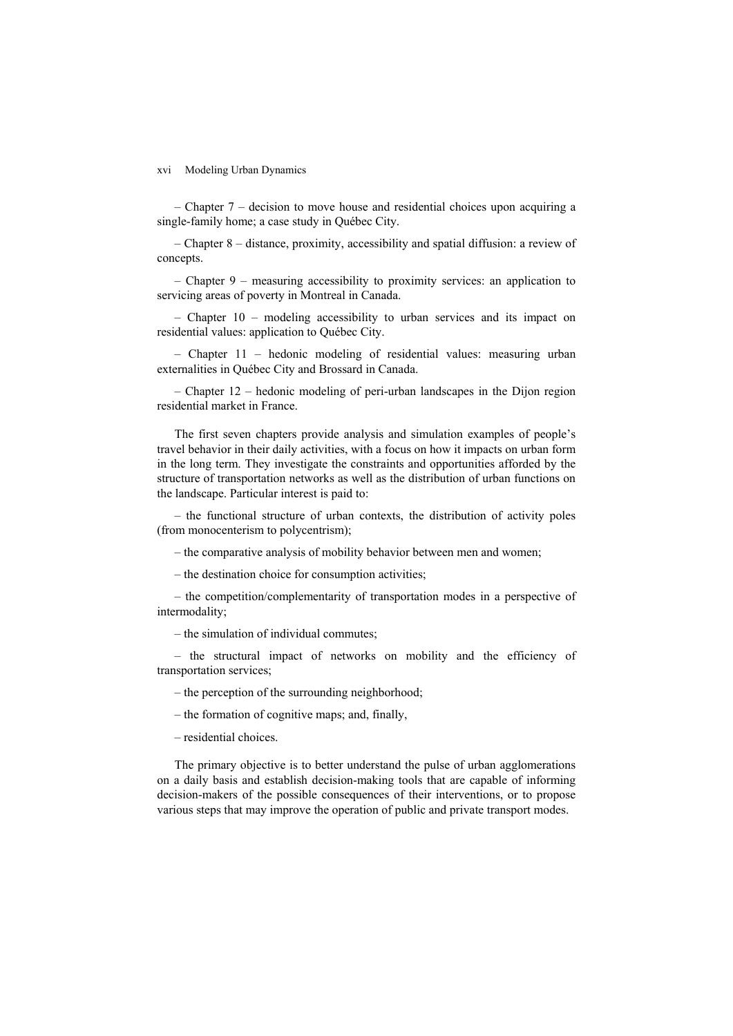xvi Modeling Urban Dynamics

– Chapter 7 – decision to move house and residential choices upon acquiring a single-family home; a case study in Québec City.

– Chapter 8 – distance, proximity, accessibility and spatial diffusion: a review of concepts.

– Chapter 9 – measuring accessibility to proximity services: an application to servicing areas of poverty in Montreal in Canada.

– Chapter 10 – modeling accessibility to urban services and its impact on residential values: application to Québec City.

– Chapter 11 – hedonic modeling of residential values: measuring urban externalities in Québec City and Brossard in Canada.

– Chapter 12 – hedonic modeling of peri-urban landscapes in the Dijon region residential market in France.

The first seven chapters provide analysis and simulation examples of people's travel behavior in their daily activities, with a focus on how it impacts on urban form in the long term. They investigate the constraints and opportunities afforded by the structure of transportation networks as well as the distribution of urban functions on the landscape. Particular interest is paid to:

– the functional structure of urban contexts, the distribution of activity poles (from monocenterism to polycentrism);

– the comparative analysis of mobility behavior between men and women;

– the destination choice for consumption activities;

– the competition/complementarity of transportation modes in a perspective of intermodality;

– the simulation of individual commutes;

– the structural impact of networks on mobility and the efficiency of transportation services;

– the perception of the surrounding neighborhood;

– the formation of cognitive maps; and, finally,

– residential choices.

The primary objective is to better understand the pulse of urban agglomerations on a daily basis and establish decision-making tools that are capable of informing decision-makers of the possible consequences of their interventions, or to propose various steps that may improve the operation of public and private transport modes.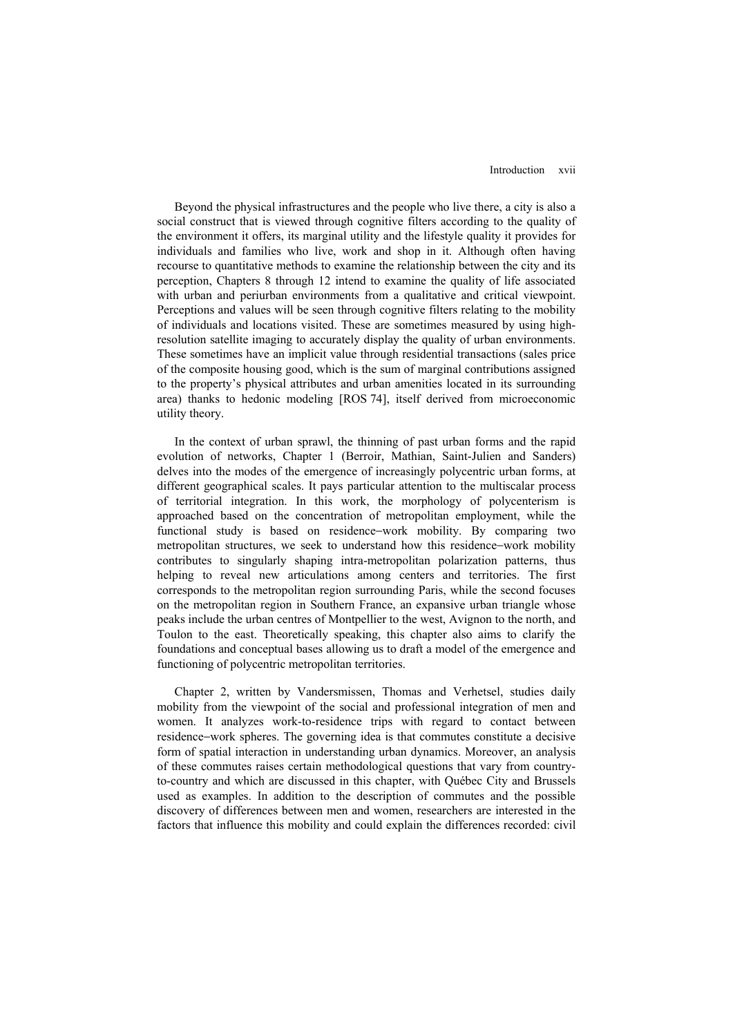Beyond the physical infrastructures and the people who live there, a city is also a social construct that is viewed through cognitive filters according to the quality of the environment it offers, its marginal utility and the lifestyle quality it provides for individuals and families who live, work and shop in it. Although often having recourse to quantitative methods to examine the relationship between the city and its perception, Chapters 8 through 12 intend to examine the quality of life associated with urban and periurban environments from a qualitative and critical viewpoint. Perceptions and values will be seen through cognitive filters relating to the mobility of individuals and locations visited. These are sometimes measured by using highresolution satellite imaging to accurately display the quality of urban environments. These sometimes have an implicit value through residential transactions (sales price of the composite housing good, which is the sum of marginal contributions assigned to the property's physical attributes and urban amenities located in its surrounding area) thanks to hedonic modeling [ROS 74], itself derived from microeconomic utility theory.

In the context of urban sprawl, the thinning of past urban forms and the rapid evolution of networks, Chapter 1 (Berroir, Mathian, Saint-Julien and Sanders) delves into the modes of the emergence of increasingly polycentric urban forms, at different geographical scales. It pays particular attention to the multiscalar process of territorial integration. In this work, the morphology of polycenterism is approached based on the concentration of metropolitan employment, while the functional study is based on residence−work mobility. By comparing two metropolitan structures, we seek to understand how this residence−work mobility contributes to singularly shaping intra-metropolitan polarization patterns, thus helping to reveal new articulations among centers and territories. The first corresponds to the metropolitan region surrounding Paris, while the second focuses on the metropolitan region in Southern France, an expansive urban triangle whose peaks include the urban centres of Montpellier to the west, Avignon to the north, and Toulon to the east. Theoretically speaking, this chapter also aims to clarify the foundations and conceptual bases allowing us to draft a model of the emergence and functioning of polycentric metropolitan territories.

Chapter 2, written by Vandersmissen, Thomas and Verhetsel, studies daily mobility from the viewpoint of the social and professional integration of men and women. It analyzes work-to-residence trips with regard to contact between residence−work spheres. The governing idea is that commutes constitute a decisive form of spatial interaction in understanding urban dynamics. Moreover, an analysis of these commutes raises certain methodological questions that vary from countryto-country and which are discussed in this chapter, with Québec City and Brussels used as examples. In addition to the description of commutes and the possible discovery of differences between men and women, researchers are interested in the factors that influence this mobility and could explain the differences recorded: civil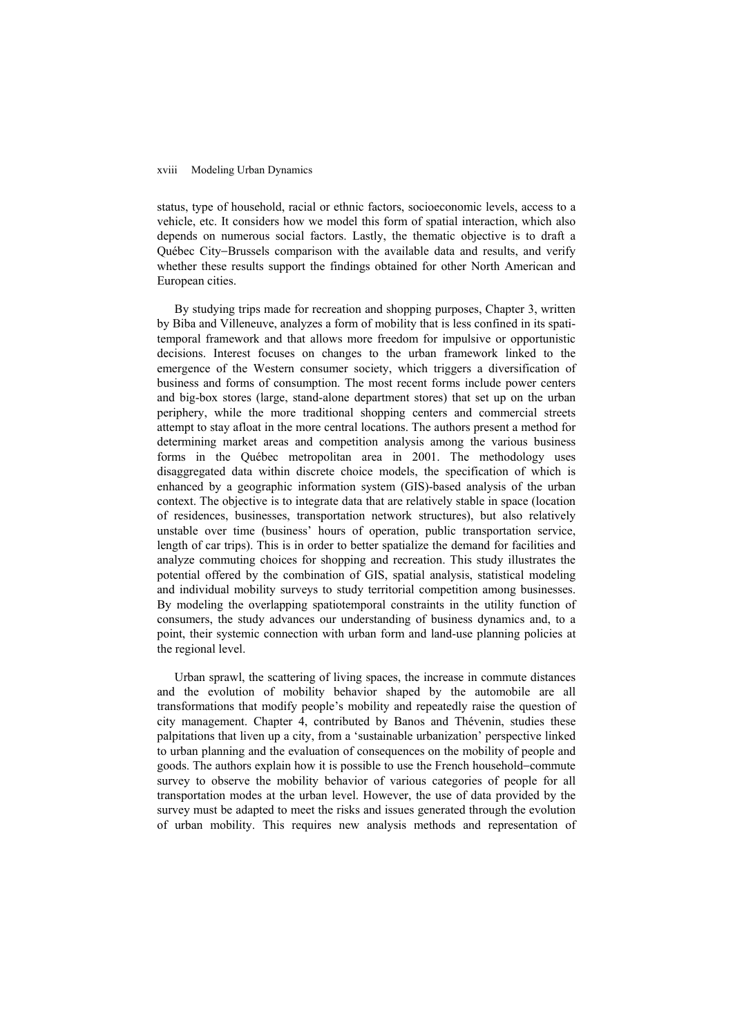#### xviii Modeling Urban Dynamics

status, type of household, racial or ethnic factors, socioeconomic levels, access to a vehicle, etc. It considers how we model this form of spatial interaction, which also depends on numerous social factors. Lastly, the thematic objective is to draft a Québec City−Brussels comparison with the available data and results, and verify whether these results support the findings obtained for other North American and European cities.

By studying trips made for recreation and shopping purposes, Chapter 3, written by Biba and Villeneuve, analyzes a form of mobility that is less confined in its spatitemporal framework and that allows more freedom for impulsive or opportunistic decisions. Interest focuses on changes to the urban framework linked to the emergence of the Western consumer society, which triggers a diversification of business and forms of consumption. The most recent forms include power centers and big-box stores (large, stand-alone department stores) that set up on the urban periphery, while the more traditional shopping centers and commercial streets attempt to stay afloat in the more central locations. The authors present a method for determining market areas and competition analysis among the various business forms in the Québec metropolitan area in 2001. The methodology uses disaggregated data within discrete choice models, the specification of which is enhanced by a geographic information system (GIS)-based analysis of the urban context. The objective is to integrate data that are relatively stable in space (location of residences, businesses, transportation network structures), but also relatively unstable over time (business' hours of operation, public transportation service, length of car trips). This is in order to better spatialize the demand for facilities and analyze commuting choices for shopping and recreation. This study illustrates the potential offered by the combination of GIS, spatial analysis, statistical modeling and individual mobility surveys to study territorial competition among businesses. By modeling the overlapping spatiotemporal constraints in the utility function of consumers, the study advances our understanding of business dynamics and, to a point, their systemic connection with urban form and land-use planning policies at the regional level.

Urban sprawl, the scattering of living spaces, the increase in commute distances and the evolution of mobility behavior shaped by the automobile are all transformations that modify people's mobility and repeatedly raise the question of city management. Chapter 4, contributed by Banos and Thévenin, studies these palpitations that liven up a city, from a 'sustainable urbanization' perspective linked to urban planning and the evaluation of consequences on the mobility of people and goods. The authors explain how it is possible to use the French household−commute survey to observe the mobility behavior of various categories of people for all transportation modes at the urban level. However, the use of data provided by the survey must be adapted to meet the risks and issues generated through the evolution of urban mobility. This requires new analysis methods and representation of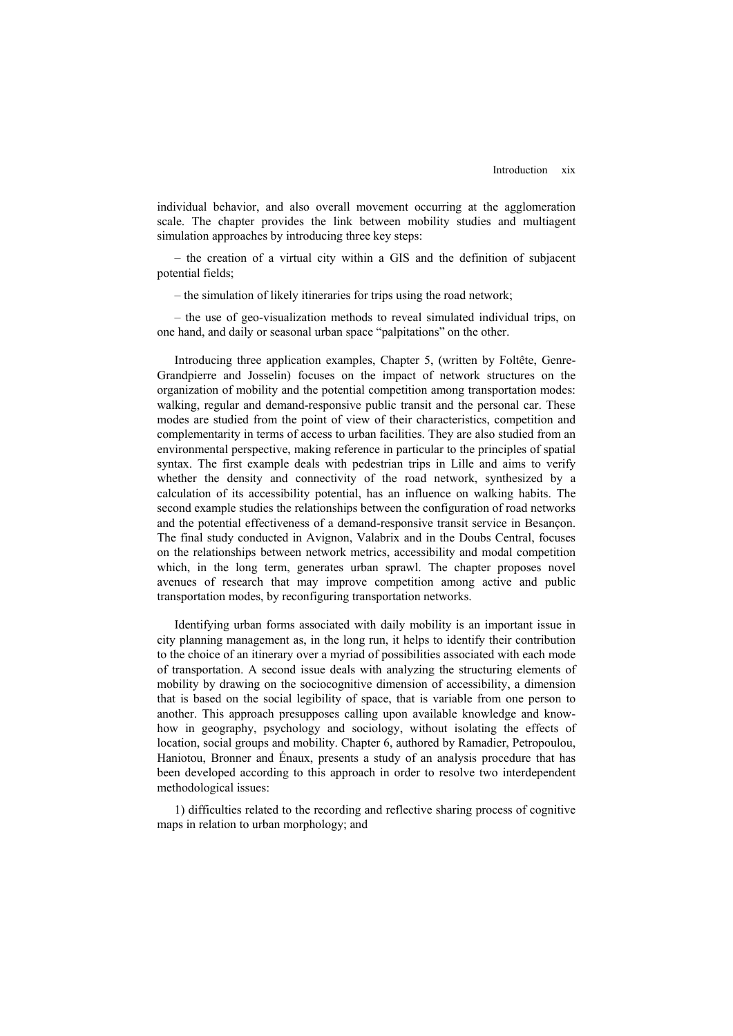individual behavior, and also overall movement occurring at the agglomeration scale. The chapter provides the link between mobility studies and multiagent simulation approaches by introducing three key steps:

– the creation of a virtual city within a GIS and the definition of subjacent potential fields;

– the simulation of likely itineraries for trips using the road network;

– the use of geo-visualization methods to reveal simulated individual trips, on one hand, and daily or seasonal urban space "palpitations" on the other.

Introducing three application examples, Chapter 5, (written by Foltête, Genre-Grandpierre and Josselin) focuses on the impact of network structures on the organization of mobility and the potential competition among transportation modes: walking, regular and demand-responsive public transit and the personal car. These modes are studied from the point of view of their characteristics, competition and complementarity in terms of access to urban facilities. They are also studied from an environmental perspective, making reference in particular to the principles of spatial syntax. The first example deals with pedestrian trips in Lille and aims to verify whether the density and connectivity of the road network, synthesized by a calculation of its accessibility potential, has an influence on walking habits. The second example studies the relationships between the configuration of road networks and the potential effectiveness of a demand-responsive transit service in Besançon. The final study conducted in Avignon, Valabrix and in the Doubs Central, focuses on the relationships between network metrics, accessibility and modal competition which, in the long term, generates urban sprawl. The chapter proposes novel avenues of research that may improve competition among active and public transportation modes, by reconfiguring transportation networks.

Identifying urban forms associated with daily mobility is an important issue in city planning management as, in the long run, it helps to identify their contribution to the choice of an itinerary over a myriad of possibilities associated with each mode of transportation. A second issue deals with analyzing the structuring elements of mobility by drawing on the sociocognitive dimension of accessibility, a dimension that is based on the social legibility of space, that is variable from one person to another. This approach presupposes calling upon available knowledge and knowhow in geography, psychology and sociology, without isolating the effects of location, social groups and mobility. Chapter 6, authored by Ramadier, Petropoulou, Haniotou, Bronner and Énaux, presents a study of an analysis procedure that has been developed according to this approach in order to resolve two interdependent methodological issues:

1) difficulties related to the recording and reflective sharing process of cognitive maps in relation to urban morphology; and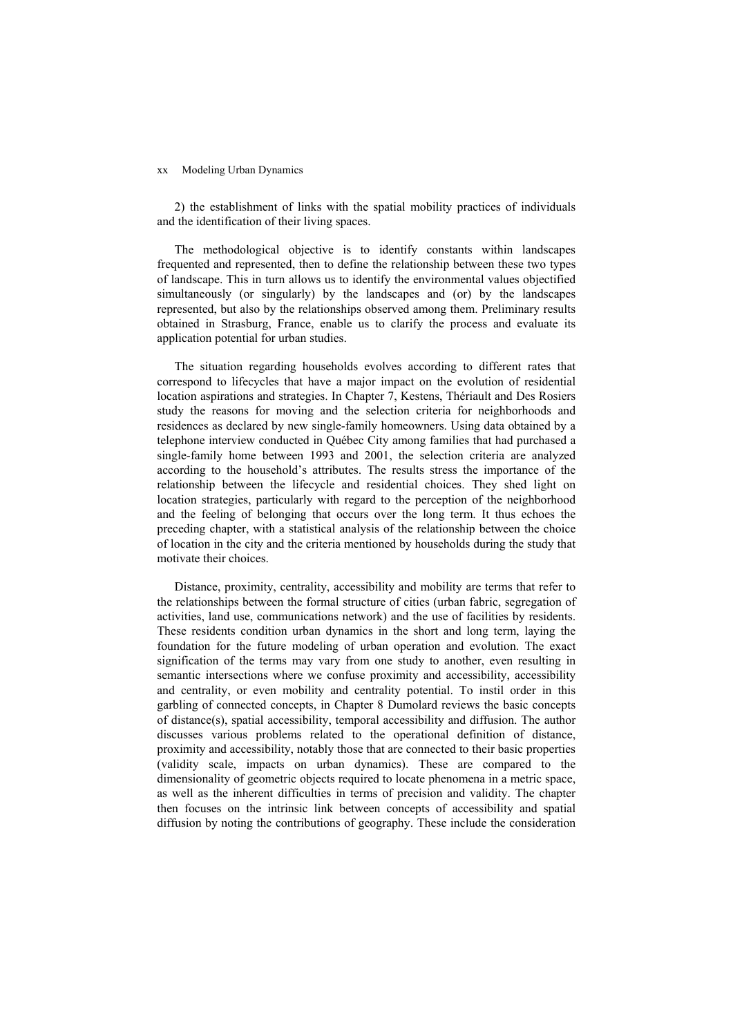### xx Modeling Urban Dynamics

2) the establishment of links with the spatial mobility practices of individuals and the identification of their living spaces.

The methodological objective is to identify constants within landscapes frequented and represented, then to define the relationship between these two types of landscape. This in turn allows us to identify the environmental values objectified simultaneously (or singularly) by the landscapes and (or) by the landscapes represented, but also by the relationships observed among them. Preliminary results obtained in Strasburg, France, enable us to clarify the process and evaluate its application potential for urban studies.

The situation regarding households evolves according to different rates that correspond to lifecycles that have a major impact on the evolution of residential location aspirations and strategies. In Chapter 7, Kestens, Thériault and Des Rosiers study the reasons for moving and the selection criteria for neighborhoods and residences as declared by new single-family homeowners. Using data obtained by a telephone interview conducted in Québec City among families that had purchased a single-family home between 1993 and 2001, the selection criteria are analyzed according to the household's attributes. The results stress the importance of the relationship between the lifecycle and residential choices. They shed light on location strategies, particularly with regard to the perception of the neighborhood and the feeling of belonging that occurs over the long term. It thus echoes the preceding chapter, with a statistical analysis of the relationship between the choice of location in the city and the criteria mentioned by households during the study that motivate their choices.

Distance, proximity, centrality, accessibility and mobility are terms that refer to the relationships between the formal structure of cities (urban fabric, segregation of activities, land use, communications network) and the use of facilities by residents. These residents condition urban dynamics in the short and long term, laying the foundation for the future modeling of urban operation and evolution. The exact signification of the terms may vary from one study to another, even resulting in semantic intersections where we confuse proximity and accessibility, accessibility and centrality, or even mobility and centrality potential. To instil order in this garbling of connected concepts, in Chapter 8 Dumolard reviews the basic concepts of distance(s), spatial accessibility, temporal accessibility and diffusion. The author discusses various problems related to the operational definition of distance, proximity and accessibility, notably those that are connected to their basic properties (validity scale, impacts on urban dynamics). These are compared to the dimensionality of geometric objects required to locate phenomena in a metric space, as well as the inherent difficulties in terms of precision and validity. The chapter then focuses on the intrinsic link between concepts of accessibility and spatial diffusion by noting the contributions of geography. These include the consideration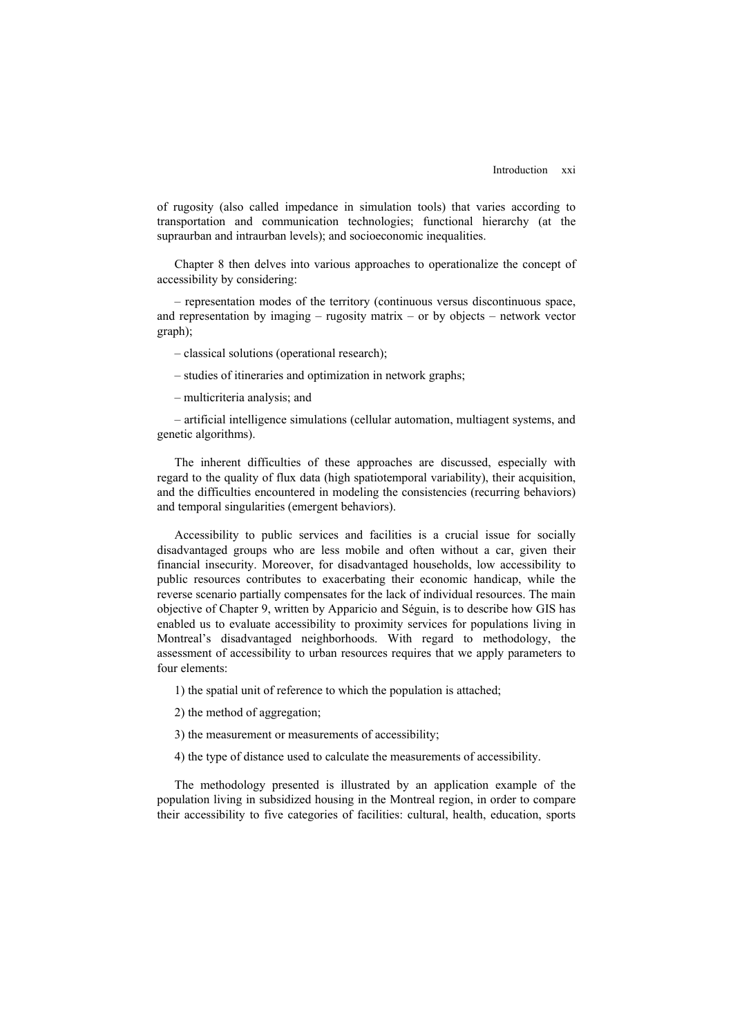of rugosity (also called impedance in simulation tools) that varies according to transportation and communication technologies; functional hierarchy (at the supraurban and intraurban levels); and socioeconomic inequalities.

Chapter 8 then delves into various approaches to operationalize the concept of accessibility by considering:

– representation modes of the territory (continuous versus discontinuous space, and representation by imaging – rugosity matrix – or by objects – network vector graph);

– classical solutions (operational research);

– studies of itineraries and optimization in network graphs;

– multicriteria analysis; and

– artificial intelligence simulations (cellular automation, multiagent systems, and genetic algorithms).

The inherent difficulties of these approaches are discussed, especially with regard to the quality of flux data (high spatiotemporal variability), their acquisition, and the difficulties encountered in modeling the consistencies (recurring behaviors) and temporal singularities (emergent behaviors).

Accessibility to public services and facilities is a crucial issue for socially disadvantaged groups who are less mobile and often without a car, given their financial insecurity. Moreover, for disadvantaged households, low accessibility to public resources contributes to exacerbating their economic handicap, while the reverse scenario partially compensates for the lack of individual resources. The main objective of Chapter 9, written by Apparicio and Séguin, is to describe how GIS has enabled us to evaluate accessibility to proximity services for populations living in Montreal's disadvantaged neighborhoods. With regard to methodology, the assessment of accessibility to urban resources requires that we apply parameters to four elements:

1) the spatial unit of reference to which the population is attached;

2) the method of aggregation;

3) the measurement or measurements of accessibility;

4) the type of distance used to calculate the measurements of accessibility.

The methodology presented is illustrated by an application example of the population living in subsidized housing in the Montreal region, in order to compare their accessibility to five categories of facilities: cultural, health, education, sports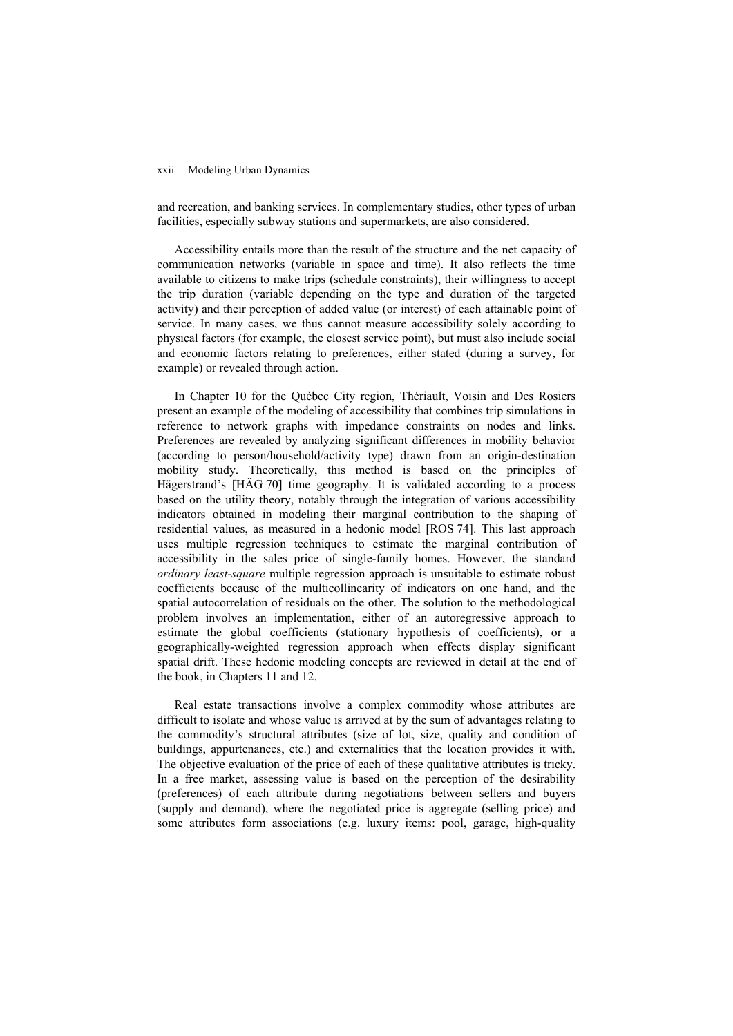### xxii Modeling Urban Dynamics

and recreation, and banking services. In complementary studies, other types of urban facilities, especially subway stations and supermarkets, are also considered.

Accessibility entails more than the result of the structure and the net capacity of communication networks (variable in space and time). It also reflects the time available to citizens to make trips (schedule constraints), their willingness to accept the trip duration (variable depending on the type and duration of the targeted activity) and their perception of added value (or interest) of each attainable point of service. In many cases, we thus cannot measure accessibility solely according to physical factors (for example, the closest service point), but must also include social and economic factors relating to preferences, either stated (during a survey, for example) or revealed through action.

In Chapter 10 for the Quèbec City region, Thériault, Voisin and Des Rosiers present an example of the modeling of accessibility that combines trip simulations in reference to network graphs with impedance constraints on nodes and links. Preferences are revealed by analyzing significant differences in mobility behavior (according to person/household/activity type) drawn from an origin-destination mobility study. Theoretically, this method is based on the principles of Hägerstrand's [HÄG 70] time geography. It is validated according to a process based on the utility theory, notably through the integration of various accessibility indicators obtained in modeling their marginal contribution to the shaping of residential values, as measured in a hedonic model [ROS 74]. This last approach uses multiple regression techniques to estimate the marginal contribution of accessibility in the sales price of single-family homes. However, the standard *ordinary least-square* multiple regression approach is unsuitable to estimate robust coefficients because of the multicollinearity of indicators on one hand, and the spatial autocorrelation of residuals on the other. The solution to the methodological problem involves an implementation, either of an autoregressive approach to estimate the global coefficients (stationary hypothesis of coefficients), or a geographically-weighted regression approach when effects display significant spatial drift. These hedonic modeling concepts are reviewed in detail at the end of the book, in Chapters 11 and 12.

Real estate transactions involve a complex commodity whose attributes are difficult to isolate and whose value is arrived at by the sum of advantages relating to the commodity's structural attributes (size of lot, size, quality and condition of buildings, appurtenances, etc.) and externalities that the location provides it with. The objective evaluation of the price of each of these qualitative attributes is tricky. In a free market, assessing value is based on the perception of the desirability (preferences) of each attribute during negotiations between sellers and buyers (supply and demand), where the negotiated price is aggregate (selling price) and some attributes form associations (e.g. luxury items: pool, garage, high-quality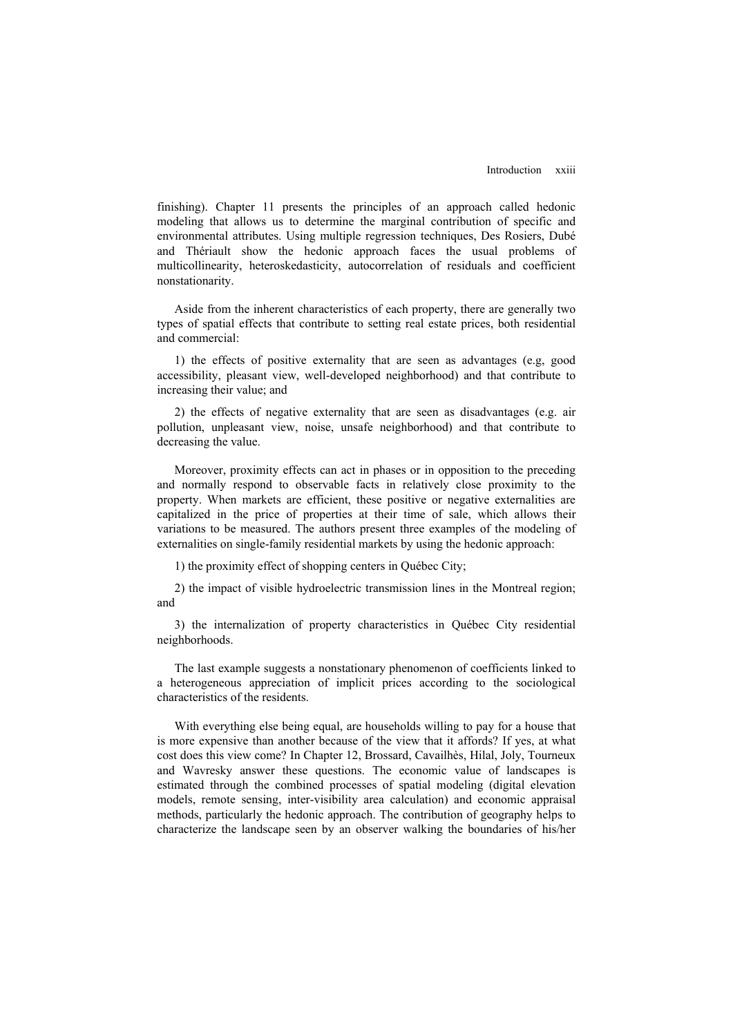finishing). Chapter 11 presents the principles of an approach called hedonic modeling that allows us to determine the marginal contribution of specific and environmental attributes. Using multiple regression techniques, Des Rosiers, Dubé and Thériault show the hedonic approach faces the usual problems of multicollinearity, heteroskedasticity, autocorrelation of residuals and coefficient nonstationarity.

Aside from the inherent characteristics of each property, there are generally two types of spatial effects that contribute to setting real estate prices, both residential and commercial:

1) the effects of positive externality that are seen as advantages (e.g, good accessibility, pleasant view, well-developed neighborhood) and that contribute to increasing their value; and

2) the effects of negative externality that are seen as disadvantages (e.g. air pollution, unpleasant view, noise, unsafe neighborhood) and that contribute to decreasing the value.

Moreover, proximity effects can act in phases or in opposition to the preceding and normally respond to observable facts in relatively close proximity to the property. When markets are efficient, these positive or negative externalities are capitalized in the price of properties at their time of sale, which allows their variations to be measured. The authors present three examples of the modeling of externalities on single-family residential markets by using the hedonic approach:

1) the proximity effect of shopping centers in Québec City;

2) the impact of visible hydroelectric transmission lines in the Montreal region; and

3) the internalization of property characteristics in Québec City residential neighborhoods.

The last example suggests a nonstationary phenomenon of coefficients linked to a heterogeneous appreciation of implicit prices according to the sociological characteristics of the residents.

With everything else being equal, are households willing to pay for a house that is more expensive than another because of the view that it affords? If yes, at what cost does this view come? In Chapter 12, Brossard, Cavailhès, Hilal, Joly, Tourneux and Wavresky answer these questions. The economic value of landscapes is estimated through the combined processes of spatial modeling (digital elevation models, remote sensing, inter-visibility area calculation) and economic appraisal methods, particularly the hedonic approach. The contribution of geography helps to characterize the landscape seen by an observer walking the boundaries of his/her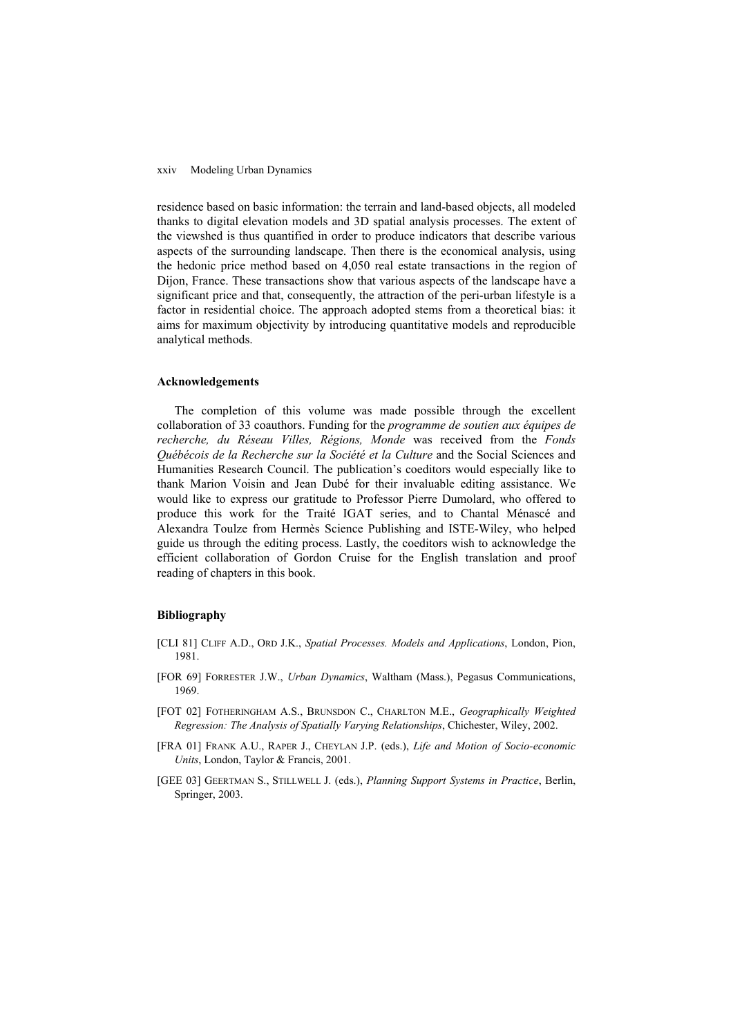### xxiv Modeling Urban Dynamics

residence based on basic information: the terrain and land-based objects, all modeled thanks to digital elevation models and 3D spatial analysis processes. The extent of the viewshed is thus quantified in order to produce indicators that describe various aspects of the surrounding landscape. Then there is the economical analysis, using the hedonic price method based on 4,050 real estate transactions in the region of Dijon, France. These transactions show that various aspects of the landscape have a significant price and that, consequently, the attraction of the peri-urban lifestyle is a factor in residential choice. The approach adopted stems from a theoretical bias: it aims for maximum objectivity by introducing quantitative models and reproducible analytical methods.

#### **Acknowledgements**

The completion of this volume was made possible through the excellent collaboration of 33 coauthors. Funding for the *programme de soutien aux équipes de recherche, du Réseau Villes, Régions, Monde* was received from the *Fonds Québécois de la Recherche sur la Société et la Culture* and the Social Sciences and Humanities Research Council. The publication's coeditors would especially like to thank Marion Voisin and Jean Dubé for their invaluable editing assistance. We would like to express our gratitude to Professor Pierre Dumolard, who offered to produce this work for the Traité IGAT series, and to Chantal Ménascé and Alexandra Toulze from Hermès Science Publishing and ISTE-Wiley, who helped guide us through the editing process. Lastly, the coeditors wish to acknowledge the efficient collaboration of Gordon Cruise for the English translation and proof reading of chapters in this book.

## **Bibliography**

- [CLI 81] CLIFF A.D., ORD J.K., *Spatial Processes. Models and Applications*, London, Pion, 1981.
- [FOR 69] FORRESTER J.W., *Urban Dynamics*, Waltham (Mass.), Pegasus Communications, 1969.
- [FOT 02] FOTHERINGHAM A.S., BRUNSDON C., CHARLTON M.E., *Geographically Weighted Regression: The Analysis of Spatially Varying Relationships*, Chichester, Wiley, 2002.
- [FRA 01] FRANK A.U., RAPER J., CHEYLAN J.P. (eds.), *Life and Motion of Socio-economic Units*, London, Taylor & Francis, 2001.
- [GEE 03] GEERTMAN S., STILLWELL J. (eds.), *Planning Support Systems in Practice*, Berlin, Springer, 2003.